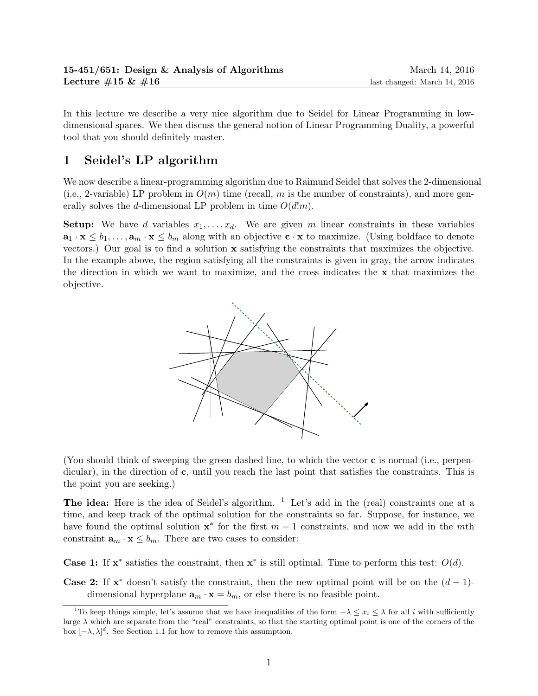In this lecture we describe a very nice algorithm due to Seidel for Linear Programming in lowdimensional spaces. We then discuss the general notion of Linear Programming Duality, a powerful tool that you should definitely master.

# 1 Seidel's LP algorithm

We now describe a linear-programming algorithm due to Raimund Seidel that solves the 2-dimensional (i.e., 2-variable) LP problem in  $O(m)$  time (recall, m is the number of constraints), and more generally solves the d-dimensional LP problem in time  $O(d!m)$ .

**Setup:** We have d variables  $x_1, \ldots, x_d$ . We are given m linear constraints in these variables  $\mathbf{a}_1 \cdot \mathbf{x} \leq b_1, \ldots, \mathbf{a}_m \cdot \mathbf{x} \leq b_m$  along with an objective  $\mathbf{c} \cdot \mathbf{x}$  to maximize. (Using boldface to denote vectors.) Our goal is to find a solution x satisfying the constraints that maximizes the objective. In the example above, the region satisfying all the constraints is given in gray, the arrow indicates the direction in which we want to maximize, and the cross indicates the x that maximizes the objective.



(You should think of sweeping the green dashed line, to which the vector c is normal (i.e., perpendicular), in the direction of c, until you reach the last point that satisfies the constraints. This is the point you are seeking.)

**The idea:** Here is the idea of Seidel's algorithm.  $\frac{1}{1}$  Let's add in the (real) constraints one at a time, and keep track of the optimal solution for the constraints so far. Suppose, for instance, we have found the optimal solution  $\mathbf{x}^*$  for the first  $m-1$  constraints, and now we add in the mth constraint  $\mathbf{a}_m \cdot \mathbf{x} \leq b_m$ . There are two cases to consider:

Case 1: If  $x^*$  satisfies the constraint, then  $x^*$  is still optimal. Time to perform this test:  $O(d)$ .

**Case 2:** If  $\mathbf{x}^*$  doesn't satisfy the constraint, then the new optimal point will be on the  $(d-1)$ dimensional hyperplane  $\mathbf{a}_m \cdot \mathbf{x} = b_m$ , or else there is no feasible point.

<sup>&</sup>lt;sup>1</sup>To keep things simple, let's assume that we have inequalities of the form  $-\lambda \leq x_i \leq \lambda$  for all i with sufficiently large  $\lambda$  which are separate from the "real" constraints, so that the starting optimal point is one of the corners of the box  $[-\lambda, \lambda]^d$ . See Section 1.1 for how to remove this assumption.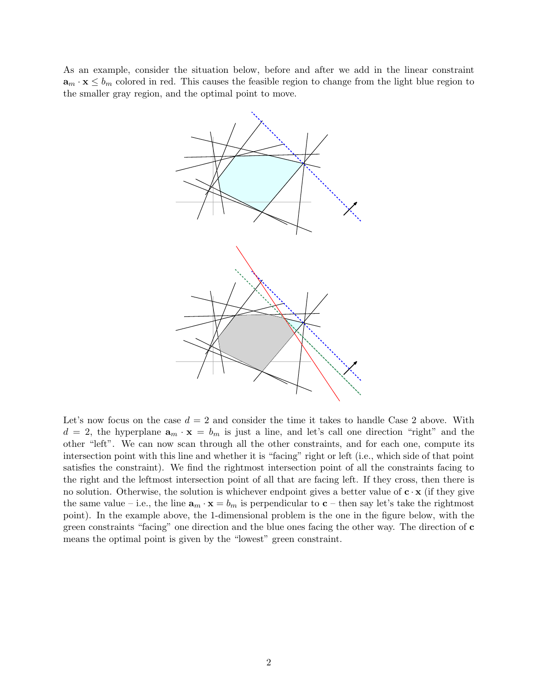As an example, consider the situation below, before and after we add in the linear constraint  $\mathbf{a}_m \cdot \mathbf{x} \leq b_m$  colored in red. This causes the feasible region to change from the light blue region to the smaller gray region, and the optimal point to move.



Let's now focus on the case  $d = 2$  and consider the time it takes to handle Case 2 above. With  $d = 2$ , the hyperplane  $\mathbf{a}_m \cdot \mathbf{x} = b_m$  is just a line, and let's call one direction "right" and the other "left". We can now scan through all the other constraints, and for each one, compute its intersection point with this line and whether it is "facing" right or left (i.e., which side of that point satisfies the constraint). We find the rightmost intersection point of all the constraints facing to the right and the leftmost intersection point of all that are facing left. If they cross, then there is no solution. Otherwise, the solution is whichever endpoint gives a better value of  $c \cdot x$  (if they give the same value – i.e., the line  $\mathbf{a}_m \cdot \mathbf{x} = b_m$  is perpendicular to  $\mathbf{c}$  – then say let's take the rightmost point). In the example above, the 1-dimensional problem is the one in the figure below, with the green constraints "facing" one direction and the blue ones facing the other way. The direction of c means the optimal point is given by the "lowest" green constraint.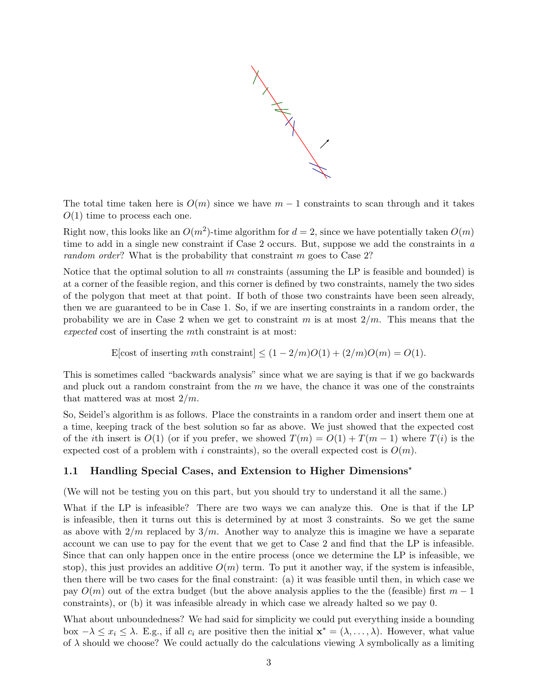

The total time taken here is  $O(m)$  since we have  $m-1$  constraints to scan through and it takes  $O(1)$  time to process each one.

Right now, this looks like an  $O(m^2)$ -time algorithm for  $d = 2$ , since we have potentially taken  $O(m)$ time to add in a single new constraint if Case 2 occurs. But, suppose we add the constraints in a random order? What is the probability that constraint m goes to Case 2?

Notice that the optimal solution to all  $m$  constraints (assuming the LP is feasible and bounded) is at a corner of the feasible region, and this corner is defined by two constraints, namely the two sides of the polygon that meet at that point. If both of those two constraints have been seen already, then we are guaranteed to be in Case 1. So, if we are inserting constraints in a random order, the probability we are in Case 2 when we get to constraint m is at most  $2/m$ . This means that the expected cost of inserting the mth constraint is at most:

E[cost of inserting mth constraint]  $\leq (1 - 2/m)O(1) + (2/m)O(m) = O(1)$ .

This is sometimes called "backwards analysis" since what we are saying is that if we go backwards and pluck out a random constraint from the  $m$  we have, the chance it was one of the constraints that mattered was at most  $2/m$ .

So, Seidel's algorithm is as follows. Place the constraints in a random order and insert them one at a time, keeping track of the best solution so far as above. We just showed that the expected cost of the ith insert is  $O(1)$  (or if you prefer, we showed  $T(m) = O(1) + T(m-1)$  where  $T(i)$  is the expected cost of a problem with i constraints), so the overall expected cost is  $O(m)$ .

## 1.1 Handling Special Cases, and Extension to Higher Dimensions?

(We will not be testing you on this part, but you should try to understand it all the same.)

What if the LP is infeasible? There are two ways we can analyze this. One is that if the LP is infeasible, then it turns out this is determined by at most 3 constraints. So we get the same as above with  $2/m$  replaced by  $3/m$ . Another way to analyze this is imagine we have a separate account we can use to pay for the event that we get to Case 2 and find that the LP is infeasible. Since that can only happen once in the entire process (once we determine the LP is infeasible, we stop), this just provides an additive  $O(m)$  term. To put it another way, if the system is infeasible, then there will be two cases for the final constraint: (a) it was feasible until then, in which case we pay  $O(m)$  out of the extra budget (but the above analysis applies to the the (feasible) first  $m-1$ constraints), or (b) it was infeasible already in which case we already halted so we pay 0.

What about unboundedness? We had said for simplicity we could put everything inside a bounding box  $-\lambda \le x_i \le \lambda$ . E.g., if all  $c_i$  are positive then the initial  $\mathbf{x}^* = (\lambda, \dots, \lambda)$ . However, what value of  $\lambda$  should we choose? We could actually do the calculations viewing  $\lambda$  symbolically as a limiting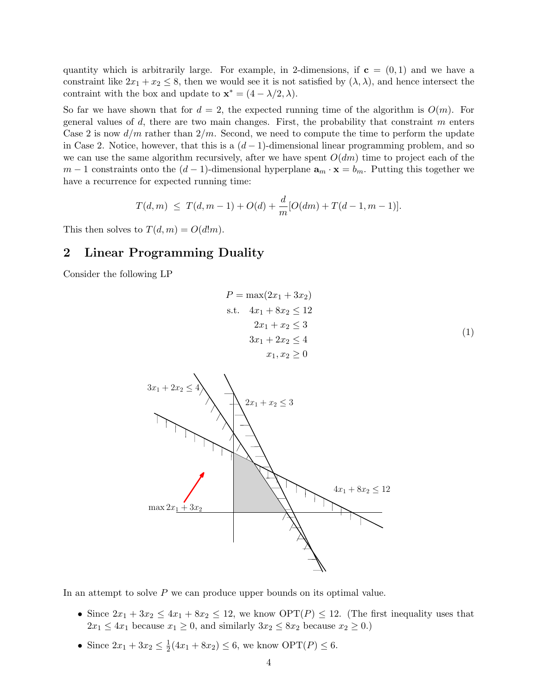quantity which is arbitrarily large. For example, in 2-dimensions, if  $c = (0, 1)$  and we have a constraint like  $2x_1 + x_2 \leq 8$ , then we would see it is not satisfied by  $(\lambda, \lambda)$ , and hence intersect the contraint with the box and update to  $\mathbf{x}^* = (4 - \lambda/2, \lambda)$ .

So far we have shown that for  $d = 2$ , the expected running time of the algorithm is  $O(m)$ . For general values of  $d$ , there are two main changes. First, the probability that constraint  $m$  enters Case 2 is now  $d/m$  rather than  $2/m$ . Second, we need to compute the time to perform the update in Case 2. Notice, however, that this is a  $(d-1)$ -dimensional linear programming problem, and so we can use the same algorithm recursively, after we have spent  $O(dm)$  time to project each of the  $m-1$  constraints onto the  $(d-1)$ -dimensional hyperplane  $\mathbf{a}_m \cdot \mathbf{x} = b_m$ . Putting this together we have a recurrence for expected running time:

$$
T(d,m) \leq T(d,m-1) + O(d) + \frac{d}{m}[O(dm) + T(d-1,m-1)].
$$

This then solves to  $T(d, m) = O(d!m)$ .

# 2 Linear Programming Duality

Consider the following LP

$$
P = \max(2x_1 + 3x_2)
$$
  
s.t.  $4x_1 + 8x_2 \le 12$   
 $2x_1 + x_2 \le 3$   
 $3x_1 + 2x_2 \le 4$   
 $x_1, x_2 \ge 0$  (1)



In an attempt to solve P we can produce upper bounds on its optimal value.

- Since  $2x_1 + 3x_2 \le 4x_1 + 8x_2 \le 12$ , we know  $\text{OPT}(P) \le 12$ . (The first inequality uses that  $2x_1 \leq 4x_1$  because  $x_1 \geq 0$ , and similarly  $3x_2 \leq 8x_2$  because  $x_2 \geq 0$ .)
- Since  $2x_1 + 3x_2 \leq \frac{1}{2}$  $\frac{1}{2}(4x_1 + 8x_2) \leq 6$ , we know  $\text{OPT}(P) \leq 6$ .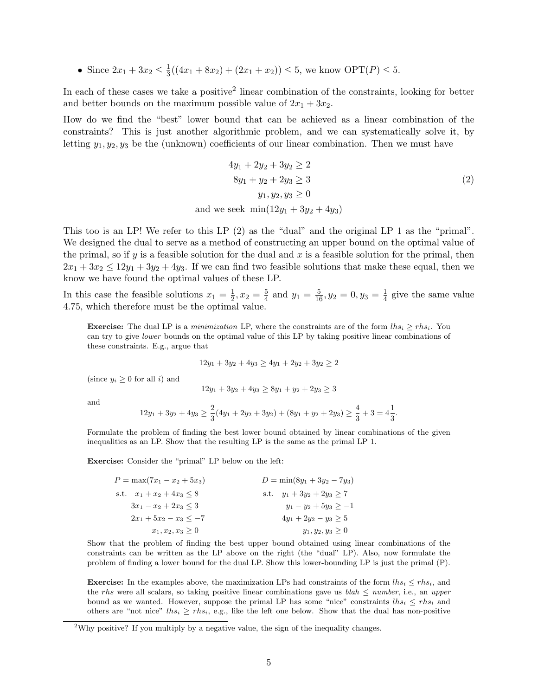• Since  $2x_1 + 3x_2 \leq \frac{1}{3}$  $\frac{1}{3}((4x_1 + 8x_2) + (2x_1 + x_2)) \leq 5$ , we know  $\text{OPT}(P) \leq 5$ .

In each of these cases we take a positive<sup>2</sup> linear combination of the constraints, looking for better and better bounds on the maximum possible value of  $2x_1 + 3x_2$ .

How do we find the "best" lower bound that can be achieved as a linear combination of the constraints? This is just another algorithmic problem, and we can systematically solve it, by letting  $y_1, y_2, y_3$  be the (unknown) coefficients of our linear combination. Then we must have

$$
4y_1 + 2y_2 + 3y_2 \ge 2
$$
  
8y<sub>1</sub> + y<sub>2</sub> + 2y<sub>3</sub> \ge 3  
y<sub>1</sub>, y<sub>2</sub>, y<sub>3</sub> \ge 0  
and we seek min(12y<sub>1</sub> + 3y<sub>2</sub> + 4y<sub>3</sub>)

This too is an LP! We refer to this LP (2) as the "dual" and the original LP 1 as the "primal". We designed the dual to serve as a method of constructing an upper bound on the optimal value of the primal, so if  $y$  is a feasible solution for the dual and  $x$  is a feasible solution for the primal, then  $2x_1 + 3x_2 \leq 12y_1 + 3y_2 + 4y_3$ . If we can find two feasible solutions that make these equal, then we know we have found the optimal values of these LP.

In this case the feasible solutions  $x_1 = \frac{1}{2}$  $\frac{1}{2}, x_2 = \frac{5}{4}$  $\frac{5}{4}$  and  $y_1 = \frac{5}{16}$ ,  $y_2 = 0$ ,  $y_3 = \frac{1}{4}$  $\frac{1}{4}$  give the same value 4.75, which therefore must be the optimal value.

**Exercise:** The dual LP is a minimization LP, where the constraints are of the form  $lh_{s_i} \geq rh_{s_i}$ . You can try to give lower bounds on the optimal value of this LP by taking positive linear combinations of these constraints. E.g., argue that

$$
12y_1 + 3y_2 + 4y_3 \ge 4y_1 + 2y_2 + 3y_2 \ge 2
$$

(since  $y_i \geq 0$  for all i) and

$$
12y_1 + 3y_2 + 4y_3 \ge 8y_1 + y_2 + 2y_3 \ge 3
$$

and

$$
12y_1 + 3y_2 + 4y_3 \ge \frac{2}{3}(4y_1 + 2y_2 + 3y_2) + (8y_1 + y_2 + 2y_3) \ge \frac{4}{3} + 3 = 4\frac{1}{3}.
$$

Formulate the problem of finding the best lower bound obtained by linear combinations of the given inequalities as an LP. Show that the resulting LP is the same as the primal LP 1.

Exercise: Consider the "primal" LP below on the left:

| $P = \max(7x_1 - x_2 + 5x_3)$ | $D = min(8y_1 + 3y_2 - 7y_3)$  |
|-------------------------------|--------------------------------|
| s.t. $x_1 + x_2 + 4x_3 < 8$   | s.t. $y_1 + 3y_2 + 2y_3 \ge 7$ |
| $3x_1 - x_2 + 2x_3 \leq 3$    | $y_1 - y_2 + 5y_3 > -1$        |
| $2x_1 + 5x_2 - x_3 < -7$      | $4y_1 + 2y_2 - y_3 \geq 5$     |
| $x_1, x_2, x_3 \geq 0$        | $y_1, y_2, y_3 \geq 0$         |

Show that the problem of finding the best upper bound obtained using linear combinations of the constraints can be written as the LP above on the right (the "dual" LP). Also, now formulate the problem of finding a lower bound for the dual LP. Show this lower-bounding LP is just the primal (P).

**Exercise:** In the examples above, the maximization LPs had constraints of the form  $\ln s_i \leq \ln s_i$ , and the rhs were all scalars, so taking positive linear combinations gave us blah  $\leq$  number, i.e., an upper bound as we wanted. However, suppose the primal LP has some "nice" constraints  $\ln s_i \leq r h s_i$  and others are "not nice"  $lhs_i \geq rhs_i$ , e.g., like the left one below. Show that the dual has non-positive

<sup>&</sup>lt;sup>2</sup>Why positive? If you multiply by a negative value, the sign of the inequality changes.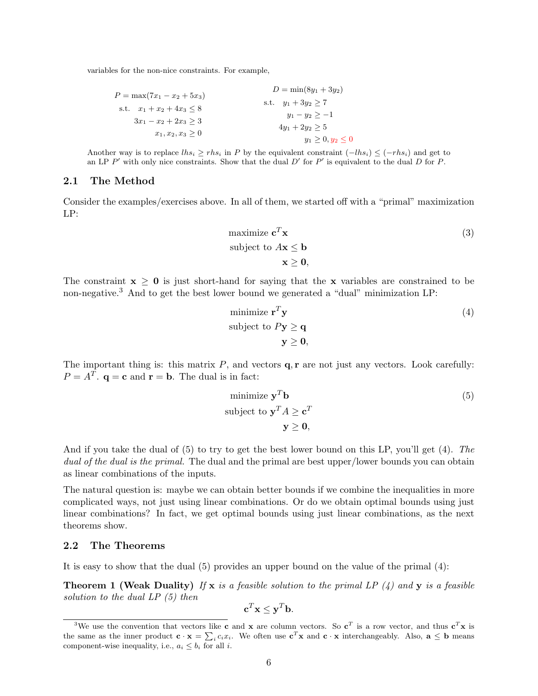variables for the non-nice constraints. For example,

$$
P = \max(7x_1 - x_2 + 5x_3)
$$
  
\n
$$
D = \min(8y_1 + 3y_2)
$$
  
\n
$$
S.t. \t x_1 + x_2 + 4x_3 \le 8
$$
  
\n
$$
3x_1 - x_2 + 2x_3 \ge 3
$$
  
\n
$$
x_1, x_2, x_3 \ge 0
$$
  
\n
$$
y_1 - y_2 \ge -1
$$
  
\n
$$
4y_1 + 2y_2 \ge 5
$$
  
\n
$$
y_1 \ge 0, y_2 \le 0
$$

Another way is to replace  $lhs_i \geq rhs_i$  in P by the equivalent constraint  $(-lhs_i) \leq (-rhs_i)$  and get to an LP  $P'$  with only nice constraints. Show that the dual  $D'$  for  $P'$  is equivalent to the dual  $D$  for  $P$ .

#### 2.1 The Method

Consider the examples/exercises above. In all of them, we started off with a "primal" maximization LP:

maximize 
$$
\mathbf{c}^T \mathbf{x}
$$
  
\nsubject to  $A\mathbf{x} \leq \mathbf{b}$   
\n $\mathbf{x} \geq \mathbf{0}$ ,

The constraint  $x \geq 0$  is just short-hand for saying that the x variables are constrained to be non-negative.<sup>3</sup> And to get the best lower bound we generated a "dual" minimization LP:

minimize 
$$
\mathbf{r}^T \mathbf{y}
$$
  
\nsubject to  $P\mathbf{y} \ge \mathbf{q}$   
\n $\mathbf{y} \ge \mathbf{0}$ , (4)

The important thing is: this matrix  $P$ , and vectors  $q, r$  are not just any vectors. Look carefully:  $P = A^T$ .  $\mathbf{q} = \mathbf{c}$  and  $\mathbf{r} = \mathbf{b}$ . The dual is in fact:

minimize 
$$
\mathbf{y}^T \mathbf{b}
$$
  
\nsubject to  $\mathbf{y}^T A \ge \mathbf{c}^T$   
\n $\mathbf{y} \ge \mathbf{0}$ ,

And if you take the dual of (5) to try to get the best lower bound on this LP, you'll get (4). The dual of the dual is the primal. The dual and the primal are best upper/lower bounds you can obtain as linear combinations of the inputs.

The natural question is: maybe we can obtain better bounds if we combine the inequalities in more complicated ways, not just using linear combinations. Or do we obtain optimal bounds using just linear combinations? In fact, we get optimal bounds using just linear combinations, as the next theorems show.

## 2.2 The Theorems

It is easy to show that the dual  $(5)$  provides an upper bound on the value of the primal  $(4)$ :

**Theorem 1 (Weak Duality)** If x is a feasible solution to the primal LP  $(4)$  and y is a feasible solution to the dual  $LP(5)$  then

$$
\mathbf{c}^T \mathbf{x} \leq \mathbf{y}^T \mathbf{b}.
$$

<sup>&</sup>lt;sup>3</sup>We use the convention that vectors like **c** and **x** are column vectors. So **c**<sup>T</sup> is a row vector, and thus **c**<sup>T</sup>**x** is the same as the inner product  $\mathbf{c} \cdot \mathbf{x} = \sum_i c_i x_i$ . We often use  $\mathbf{c}^T \mathbf{x}$  and  $\mathbf{c} \cdot \mathbf{x}$  interchangeably. Also,  $\mathbf{a} \leq \mathbf{b}$  means component-wise inequality, i.e.,  $a_i \leq b_i$  for all *i*.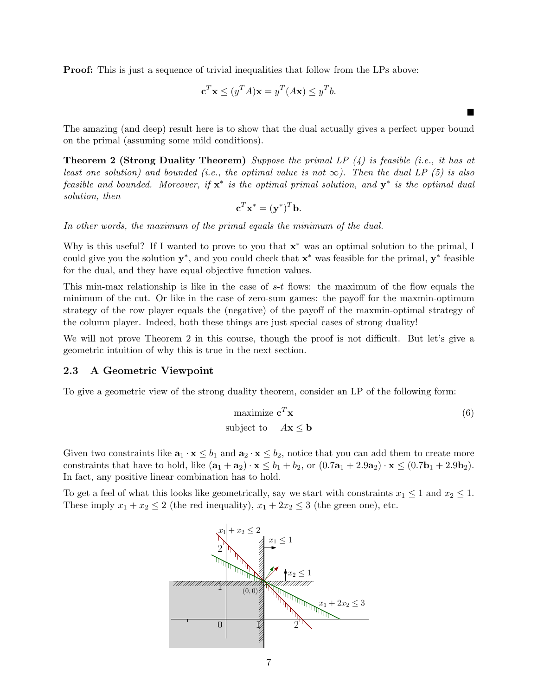**Proof:** This is just a sequence of trivial inequalities that follow from the LPs above:

$$
\mathbf{c}^T \mathbf{x} \le (y^T A) \mathbf{x} = y^T (A \mathbf{x}) \le y^T b.
$$

The amazing (and deep) result here is to show that the dual actually gives a perfect upper bound on the primal (assuming some mild conditions).

**Theorem 2 (Strong Duality Theorem)** Suppose the primal LP  $(4)$  is feasible (i.e., it has at least one solution) and bounded (i.e., the optimal value is not  $\infty$ ). Then the dual LP (5) is also feasible and bounded. Moreover, if  $x^*$  is the optimal primal solution, and  $y^*$  is the optimal dual solution, then

$$
\mathbf{c}^T \mathbf{x}^* = (\mathbf{y}^*)^T \mathbf{b}.
$$

In other words, the maximum of the primal equals the minimum of the dual.

Why is this useful? If I wanted to prove to you that  $x^*$  was an optimal solution to the primal, I could give you the solution  $y^*$ , and you could check that  $x^*$  was feasible for the primal,  $y^*$  feasible for the dual, and they have equal objective function values.

This min-max relationship is like in the case of  $s-t$  flows: the maximum of the flow equals the minimum of the cut. Or like in the case of zero-sum games: the payoff for the maxmin-optimum strategy of the row player equals the (negative) of the payoff of the maxmin-optimal strategy of the column player. Indeed, both these things are just special cases of strong duality!

We will not prove Theorem 2 in this course, though the proof is not difficult. But let's give a geometric intuition of why this is true in the next section.

#### 2.3 A Geometric Viewpoint

To give a geometric view of the strong duality theorem, consider an LP of the following form:

maximize 
$$
\mathbf{c}^T \mathbf{x}
$$
 (6)  
subject to  $A\mathbf{x} \leq \mathbf{b}$ 

 $\blacksquare$ 

Given two constraints like  $\mathbf{a}_1 \cdot \mathbf{x} \leq b_1$  and  $\mathbf{a}_2 \cdot \mathbf{x} \leq b_2$ , notice that you can add them to create more constraints that have to hold, like  $(\mathbf{a}_1 + \mathbf{a}_2) \cdot \mathbf{x} \leq b_1 + b_2$ , or  $(0.7\mathbf{a}_1 + 2.9\mathbf{a}_2) \cdot \mathbf{x} \leq (0.7\mathbf{b}_1 + 2.9\mathbf{b}_2)$ . In fact, any positive linear combination has to hold.

To get a feel of what this looks like geometrically, say we start with constraints  $x_1 \leq 1$  and  $x_2 \leq 1$ . These imply  $x_1 + x_2 \le 2$  (the red inequality),  $x_1 + 2x_2 \le 3$  (the green one), etc.

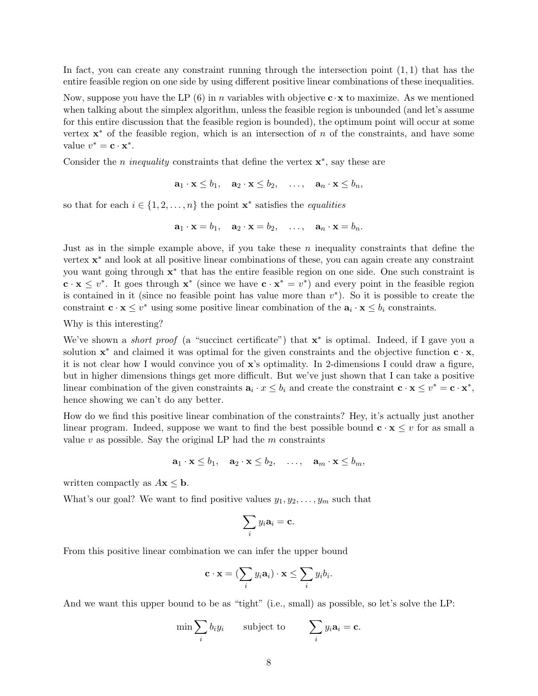In fact, you can create any constraint running through the intersection point  $(1, 1)$  that has the entire feasible region on one side by using different positive linear combinations of these inequalities.

Now, suppose you have the LP (6) in n variables with objective  $\mathbf{c} \cdot \mathbf{x}$  to maximize. As we mentioned when talking about the simplex algorithm, unless the feasible region is unbounded (and let's assume for this entire discussion that the feasible region is bounded), the optimum point will occur at some vertex  $x^*$  of the feasible region, which is an intersection of n of the constraints, and have some value  $v^* = \mathbf{c} \cdot \mathbf{x}^*$ .

Consider the *n* inequality constraints that define the vertex  $\mathbf{x}^*$ , say these are

$$
\mathbf{a}_1 \cdot \mathbf{x} \leq b_1, \quad \mathbf{a}_2 \cdot \mathbf{x} \leq b_2, \quad \ldots, \quad \mathbf{a}_n \cdot \mathbf{x} \leq b_n,
$$

so that for each  $i \in \{1, 2, ..., n\}$  the point  $\mathbf{x}^*$  satisfies the *equalities* 

$$
\mathbf{a}_1 \cdot \mathbf{x} = b_1, \quad \mathbf{a}_2 \cdot \mathbf{x} = b_2, \quad \ldots, \quad \mathbf{a}_n \cdot \mathbf{x} = b_n.
$$

Just as in the simple example above, if you take these  $n$  inequality constraints that define the vertex  $\mathbf{x}^*$  and look at all positive linear combinations of these, you can again create any constraint you want going through  $x^*$  that has the entire feasible region on one side. One such constraint is  $\mathbf{c} \cdot \mathbf{x} \leq v^*$ . It goes through  $\mathbf{x}^*$  (since we have  $\mathbf{c} \cdot \mathbf{x}^* = v^*$ ) and every point in the feasible region is contained in it (since no feasible point has value more than  $v^*$ ). So it is possible to create the constraint  $\mathbf{c} \cdot \mathbf{x} \leq v^*$  using some positive linear combination of the  $\mathbf{a}_i \cdot \mathbf{x} \leq b_i$  constraints.

Why is this interesting?

We've shown a *short proof* (a "succinct certificate") that  $x^*$  is optimal. Indeed, if I gave you a solution  $\mathbf{x}^*$  and claimed it was optimal for the given constraints and the objective function  $\mathbf{c} \cdot \mathbf{x}$ , it is not clear how I would convince you of x's optimality. In 2-dimensions I could draw a figure, but in higher dimensions things get more difficult. But we've just shown that I can take a positive linear combination of the given constraints  $\mathbf{a}_i \cdot x \leq b_i$  and create the constraint  $\mathbf{c} \cdot \mathbf{x} \leq v^* = \mathbf{c} \cdot \mathbf{x}^*$ , hence showing we can't do any better.

How do we find this positive linear combination of the constraints? Hey, it's actually just another linear program. Indeed, suppose we want to find the best possible bound  $c \cdot x \leq v$  for as small a value  $v$  as possible. Say the original LP had the  $m$  constraints

$$
\mathbf{a}_1 \cdot \mathbf{x} \le b_1, \quad \mathbf{a}_2 \cdot \mathbf{x} \le b_2, \quad \ldots, \quad \mathbf{a}_m \cdot \mathbf{x} \le b_m,
$$

written compactly as  $A\mathbf{x} \leq \mathbf{b}$ .

What's our goal? We want to find positive values  $y_1, y_2, \ldots, y_m$  such that

$$
\sum_i y_i \mathbf{a}_i = \mathbf{c}.
$$

From this positive linear combination we can infer the upper bound

$$
\mathbf{c} \cdot \mathbf{x} = (\sum_i y_i \mathbf{a}_i) \cdot \mathbf{x} \le \sum_i y_i b_i.
$$

And we want this upper bound to be as "tight" (i.e., small) as possible, so let's solve the LP:

$$
\min \sum_i b_i y_i \qquad \text{subject to} \qquad \sum_i y_i \mathbf{a}_i = \mathbf{c}.
$$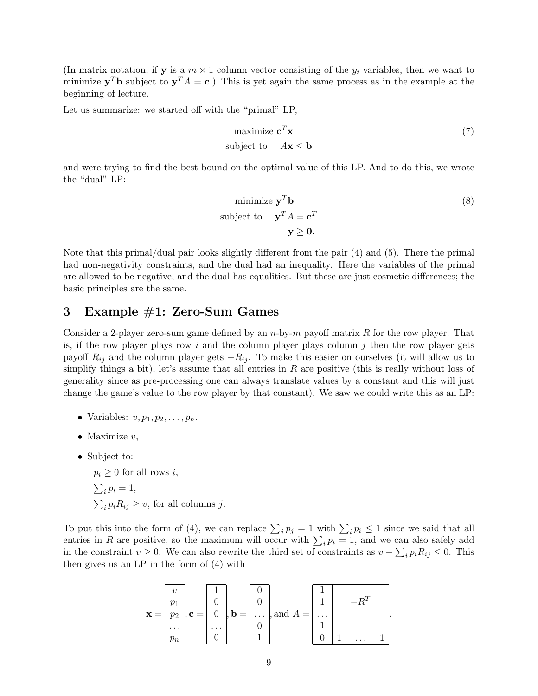(In matrix notation, if **y** is a  $m \times 1$  column vector consisting of the  $y_i$  variables, then we want to minimize  $y^T b$  subject to  $y^T A = c$ .) This is yet again the same process as in the example at the beginning of lecture.

Let us summarize: we started off with the "primal" LP,

$$
\begin{array}{ll}\text{maximize } \mathbf{c}^T \mathbf{x} \\ \text{subject to} & A\mathbf{x} \le \mathbf{b} \end{array} \tag{7}
$$

and were trying to find the best bound on the optimal value of this LP. And to do this, we wrote the "dual" LP:

minimize 
$$
\mathbf{y}^T \mathbf{b}
$$
 (8)  
subject to  $\mathbf{y}^T A = \mathbf{c}^T$   
 $\mathbf{y} \ge \mathbf{0}$ .

.

Note that this primal/dual pair looks slightly different from the pair (4) and (5). There the primal had non-negativity constraints, and the dual had an inequality. Here the variables of the primal are allowed to be negative, and the dual has equalities. But these are just cosmetic differences; the basic principles are the same.

## 3 Example #1: Zero-Sum Games

Consider a 2-player zero-sum game defined by an  $n$ -by- $m$  payoff matrix R for the row player. That is, if the row player plays row i and the column player plays column j then the row player gets payoff  $R_{ij}$  and the column player gets  $-R_{ij}$ . To make this easier on ourselves (it will allow us to simplify things a bit), let's assume that all entries in  $R$  are positive (this is really without loss of generality since as pre-processing one can always translate values by a constant and this will just change the game's value to the row player by that constant). We saw we could write this as an LP:

- Variables:  $v, p_1, p_2, \ldots, p_n$ .
- Maximize  $v$ .
- Subject to:

 $p_i \geq 0$  for all rows i,  $\sum_i p_i = 1,$  $\sum_i p_i R_{ij} \ge v$ , for all columns j.

To put this into the form of (4), we can replace  $\sum_j p_j = 1$  with  $\sum_i p_i \le 1$  since we said that all entries in R are positive, so the maximum will occur with  $\sum_i p_i = 1$ , and we can also safely add in the constraint  $v \ge 0$ . We can also rewrite the third set of constraints as  $v - \sum_i p_i R_{ij} \le 0$ . This then gives us an LP in the form of (4) with

$$
\mathbf{x} = \begin{bmatrix} v \\ p_1 \\ p_2 \\ \cdots \\ p_n \end{bmatrix}, \mathbf{c} = \begin{bmatrix} 1 \\ 0 \\ 0 \\ \cdots \\ 0 \end{bmatrix}, \mathbf{b} = \begin{bmatrix} 0 \\ 0 \\ \cdots \\ 0 \\ 1 \end{bmatrix}, \text{and } A = \begin{bmatrix} 1 \\ 1 \\ \cdots \\ 1 \\ 0 \end{bmatrix} \qquad -R^T
$$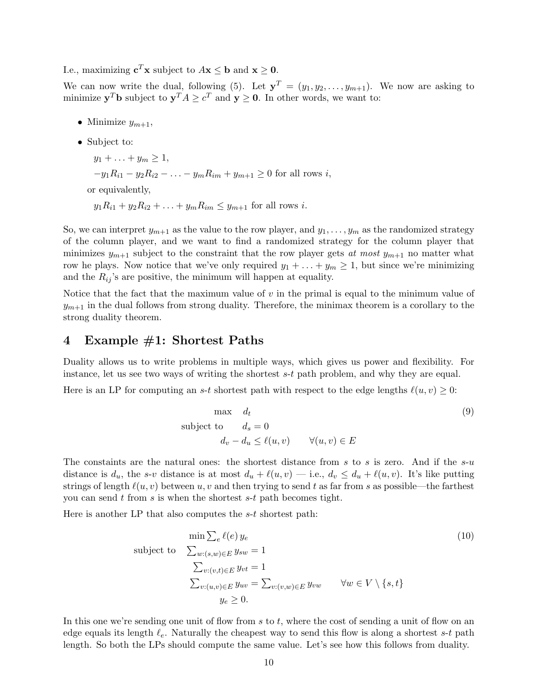I.e., maximizing  $\mathbf{c}^T \mathbf{x}$  subject to  $A\mathbf{x} \leq \mathbf{b}$  and  $\mathbf{x} \geq \mathbf{0}$ .

We can now write the dual, following (5). Let  $y^T = (y_1, y_2, \ldots, y_{m+1})$ . We now are asking to minimize  $y^T b$  subject to  $y^T A \ge c^T$  and  $y \ge 0$ . In other words, we want to:

- Minimize  $y_{m+1}$ ,
- Subject to:

 $y_1 + \ldots + y_m \geq 1$ ,  $-y_1R_{i1} - y_2R_{i2} - \ldots - y_mR_{im} + y_{m+1} > 0$  for all rows i, or equivalently,  $y_1R_{i1} + y_2R_{i2} + \ldots + y_mR_{im} \le y_{m+1}$  for all rows *i*.

So, we can interpret  $y_{m+1}$  as the value to the row player, and  $y_1, \ldots, y_m$  as the randomized strategy of the column player, and we want to find a randomized strategy for the column player that minimizes  $y_{m+1}$  subject to the constraint that the row player gets at most  $y_{m+1}$  no matter what row he plays. Now notice that we've only required  $y_1 + \ldots + y_m \ge 1$ , but since we're minimizing and the  $R_{ij}$ 's are positive, the minimum will happen at equality.

Notice that the fact that the maximum value of  $v$  in the primal is equal to the minimum value of  $y_{m+1}$  in the dual follows from strong duality. Therefore, the minimax theorem is a corollary to the strong duality theorem.

## 4 Example #1: Shortest Paths

Duality allows us to write problems in multiple ways, which gives us power and flexibility. For instance, let us see two ways of writing the shortest s-t path problem, and why they are equal.

Here is an LP for computing an s-t shortest path with respect to the edge lengths  $\ell(u, v) \geq 0$ :

$$
\begin{aligned}\n\max \quad d_t & \quad d_3 = 0 \\
d_v - d_u &\leq \ell(u, v) \qquad \forall (u, v) \in E\n\end{aligned} \tag{9}
$$

The constaints are the natural ones: the shortest distance from s to s is zero. And if the  $s-u$ distance is  $d_u$ , the s-v distance is at most  $d_u + \ell(u, v)$  — i.e.,  $d_v \leq d_u + \ell(u, v)$ . It's like putting strings of length  $\ell(u, v)$  between u, v and then trying to send t as far from s as possible—the farthest you can send  $t$  from  $s$  is when the shortest  $s-t$  path becomes tight.

Here is another LP that also computes the s-t shortest path:

$$
\min \sum_{e} \ell(e) y_e
$$
\nsubject to\n
$$
\sum_{w:(s,w)\in E} y_{sw} = 1
$$
\n
$$
\sum_{v:(v,t)\in E} y_{vt} = 1
$$
\n
$$
\sum_{v:(u,v)\in E} y_{uv} = \sum_{v:(v,w)\in E} y_{vw} \quad \forall w \in V \setminus \{s,t\}
$$
\n
$$
y_e \ge 0.
$$
\n(10)

In this one we're sending one unit of flow from s to t, where the cost of sending a unit of flow on an edge equals its length  $\ell_e$ . Naturally the cheapest way to send this flow is along a shortest s-t path length. So both the LPs should compute the same value. Let's see how this follows from duality.